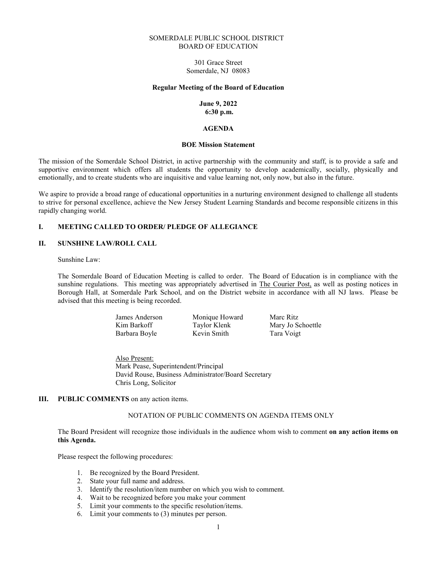#### SOMERDALE PUBLIC SCHOOL DISTRICT BOARD OF EDUCATION

301 Grace Street Somerdale, NJ 08083

#### Regular Meeting of the Board of Education

#### June 9, 2022 6:30 p.m.

#### AGENDA

#### BOE Mission Statement

The mission of the Somerdale School District, in active partnership with the community and staff, is to provide a safe and supportive environment which offers all students the opportunity to develop academically, socially, physically and emotionally, and to create students who are inquisitive and value learning not, only now, but also in the future.

We aspire to provide a broad range of educational opportunities in a nurturing environment designed to challenge all students to strive for personal excellence, achieve the New Jersey Student Learning Standards and become responsible citizens in this rapidly changing world.

#### I. MEETING CALLED TO ORDER/ PLEDGE OF ALLEGIANCE

### II. SUNSHINE LAW/ROLL CALL

Sunshine Law:

The Somerdale Board of Education Meeting is called to order. The Board of Education is in compliance with the sunshine regulations. This meeting was appropriately advertised in The Courier Post, as well as posting notices in Borough Hall, at Somerdale Park School, and on the District website in accordance with all NJ laws. Please be advised that this meeting is being recorded.

> James Anderson Monique Howard Marc Ritz Kim Barkoff Taylor Klenk Mary Jo Schoettle Barbara Boyle Kevin Smith Tara Voigt

Also Present: Mark Pease, Superintendent/Principal David Rouse, Business Administrator/Board Secretary Chris Long, Solicitor

#### III. PUBLIC COMMENTS on any action items.

### NOTATION OF PUBLIC COMMENTS ON AGENDA ITEMS ONLY

The Board President will recognize those individuals in the audience whom wish to comment on any action items on this Agenda.

Please respect the following procedures:

- 1. Be recognized by the Board President.
- 2. State your full name and address.
- 3. Identify the resolution/item number on which you wish to comment.
- 4. Wait to be recognized before you make your comment
- 5. Limit your comments to the specific resolution/items.
- 6. Limit your comments to (3) minutes per person.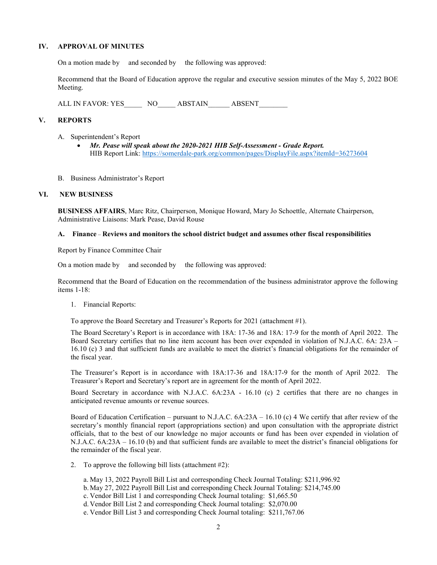### IV. APPROVAL OF MINUTES

On a motion made by and seconded by the following was approved:

Recommend that the Board of Education approve the regular and executive session minutes of the May 5, 2022 BOE Meeting.

ALL IN FAVOR: YES NO ABSTAIN ABSENT

### V. REPORTS

- A. Superintendent's Report
	- Mr. Pease will speak about the 2020-2021 HIB Self-Assessment Grade Report. HIB Report Link: https://somerdale-park.org/common/pages/DisplayFile.aspx?itemId=36273604
- B. Business Administrator's Report

#### VI. NEW BUSINESS

BUSINESS AFFAIRS, Marc Ritz, Chairperson, Monique Howard, Mary Jo Schoettle, Alternate Chairperson, Administrative Liaisons: Mark Pease, David Rouse

#### A. Finance – Reviews and monitors the school district budget and assumes other fiscal responsibilities

Report by Finance Committee Chair

On a motion made by and seconded by the following was approved:

Recommend that the Board of Education on the recommendation of the business administrator approve the following items 1-18:

1. Financial Reports:

To approve the Board Secretary and Treasurer's Reports for 2021 (attachment #1).

The Board Secretary's Report is in accordance with 18A: 17-36 and 18A: 17-9 for the month of April 2022. The Board Secretary certifies that no line item account has been over expended in violation of N.J.A.C. 6A: 23A – 16.10 (c) 3 and that sufficient funds are available to meet the district's financial obligations for the remainder of the fiscal year.

The Treasurer's Report is in accordance with 18A:17-36 and 18A:17-9 for the month of April 2022. The Treasurer's Report and Secretary's report are in agreement for the month of April 2022.

Board Secretary in accordance with N.J.A.C. 6A:23A - 16.10 (c) 2 certifies that there are no changes in anticipated revenue amounts or revenue sources.

Board of Education Certification – pursuant to N.J.A.C. 6A:23A – 16.10 (c) 4 We certify that after review of the secretary's monthly financial report (appropriations section) and upon consultation with the appropriate district officials, that to the best of our knowledge no major accounts or fund has been over expended in violation of N.J.A.C. 6A:23A – 16.10 (b) and that sufficient funds are available to meet the district's financial obligations for the remainder of the fiscal year.

2. To approve the following bill lists (attachment #2):

a. May 13, 2022 Payroll Bill List and corresponding Check Journal Totaling: \$211,996.92

- b.May 27, 2022 Payroll Bill List and corresponding Check Journal Totaling: \$214,745.00
- c. Vendor Bill List 1 and corresponding Check Journal totaling: \$1,665.50

d. Vendor Bill List 2 and corresponding Check Journal totaling: \$2,070.00

e. Vendor Bill List 3 and corresponding Check Journal totaling: \$211,767.06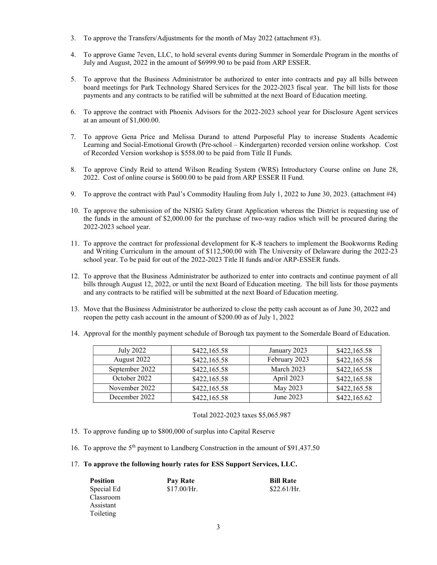- 3. To approve the Transfers/Adjustments for the month of May 2022 (attachment #3).
- 4. To approve Game 7even, LLC, to hold several events during Summer in Somerdale Program in the months of July and August, 2022 in the amount of \$6999.90 to be paid from ARP ESSER.
- 5. To approve that the Business Administrator be authorized to enter into contracts and pay all bills between board meetings for Park Technology Shared Services for the 2022-2023 fiscal year. The bill lists for those payments and any contracts to be ratified will be submitted at the next Board of Education meeting.
- 6. To approve the contract with Phoenix Advisors for the 2022-2023 school year for Disclosure Agent services at an amount of \$1,000.00.
- 7. To approve Gena Price and Melissa Durand to attend Purposeful Play to increase Students Academic Learning and Social-Emotional Growth (Pre-school – Kindergarten) recorded version online workshop. Cost of Recorded Version workshop is \$558.00 to be paid from Title II Funds.
- 8. To approve Cindy Reid to attend Wilson Reading System (WRS) Introductory Course online on June 28, 2022. Cost of online course is \$600.00 to be paid from ARP ESSER II Fund.
- 9. To approve the contract with Paul's Commodity Hauling from July 1, 2022 to June 30, 2023. (attachment #4)
- 10. To approve the submission of the NJSIG Safety Grant Application whereas the District is requesting use of the funds in the amount of \$2,000.00 for the purchase of two-way radios which will be procured during the 2022-2023 school year.
- 11. To approve the contract for professional development for K-8 teachers to implement the Bookworms Reding and Writing Curriculum in the amount of \$112,500.00 with The University of Delaware during the 2022-23 school year. To be paid for out of the 2022-2023 Title II funds and/or ARP-ESSER funds.
- 12. To approve that the Business Administrator be authorized to enter into contracts and continue payment of all bills through August 12, 2022, or until the next Board of Education meeting. The bill lists for those payments and any contracts to be ratified will be submitted at the next Board of Education meeting.
- 13. Move that the Business Administrator be authorized to close the petty cash account as of June 30, 2022 and reopen the petty cash account in the amount of \$200.00 as of July 1, 2022
- 14. Approval for the monthly payment schedule of Borough tax payment to the Somerdale Board of Education.

| July 2022      | \$422,165.58 | January 2023  | \$422,165.58 |
|----------------|--------------|---------------|--------------|
| August 2022    | \$422,165.58 | February 2023 | \$422,165.58 |
| September 2022 | \$422,165.58 | March 2023    | \$422,165.58 |
| October 2022   | \$422,165.58 | April 2023    | \$422,165.58 |
| November 2022  | \$422,165.58 | May 2023      | \$422,165.58 |
| December 2022  | \$422,165.58 | June 2023     | \$422,165.62 |

Total 2022-2023 taxes \$5,065.987

- 15. To approve funding up to \$800,000 of surplus into Capital Reserve
- 16. To approve the 5th payment to Landberg Construction in the amount of \$91,437.50
- 17. To approve the following hourly rates for ESS Support Services, LLC.

| <b>Position</b> | Pay Rate    | <b>Bill Rate</b> |
|-----------------|-------------|------------------|
| Special Ed      | \$17.00/Hr. | \$22.61/Hr.      |
| Classroom       |             |                  |
| Assistant       |             |                  |
| Toileting       |             |                  |
|                 |             |                  |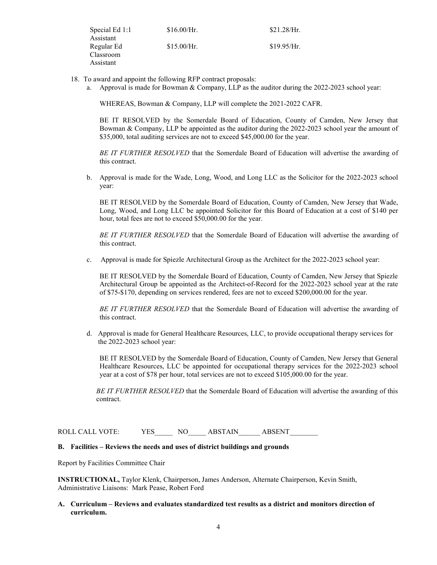| Special Ed 1:1 | \$16.00/Hr. | \$21.28/Hr. |
|----------------|-------------|-------------|
| Assistant      |             |             |
| Regular Ed     | \$15.00/Hr. | \$19.95/Hr. |
| Classroom      |             |             |
| Assistant      |             |             |

- 18. To award and appoint the following RFP contract proposals:
	- a. Approval is made for Bowman & Company, LLP as the auditor during the 2022-2023 school year:

WHEREAS, Bowman & Company, LLP will complete the 2021-2022 CAFR.

BE IT RESOLVED by the Somerdale Board of Education, County of Camden, New Jersey that Bowman & Company, LLP be appointed as the auditor during the 2022-2023 school year the amount of \$35,000, total auditing services are not to exceed \$45,000.00 for the year.

BE IT FURTHER RESOLVED that the Somerdale Board of Education will advertise the awarding of this contract.

b. Approval is made for the Wade, Long, Wood, and Long LLC as the Solicitor for the 2022-2023 school year:

BE IT RESOLVED by the Somerdale Board of Education, County of Camden, New Jersey that Wade, Long, Wood, and Long LLC be appointed Solicitor for this Board of Education at a cost of \$140 per hour, total fees are not to exceed \$50,000.00 for the year.

BE IT FURTHER RESOLVED that the Somerdale Board of Education will advertise the awarding of this contract.

c. Approval is made for Spiezle Architectural Group as the Architect for the 2022-2023 school year:

BE IT RESOLVED by the Somerdale Board of Education, County of Camden, New Jersey that Spiezle Architectural Group be appointed as the Architect-of-Record for the 2022-2023 school year at the rate of \$75-\$170, depending on services rendered, fees are not to exceed \$200,000.00 for the year.

BE IT FURTHER RESOLVED that the Somerdale Board of Education will advertise the awarding of this contract.

d. Approval is made for General Healthcare Resources, LLC, to provide occupational therapy services for the 2022-2023 school year:

BE IT RESOLVED by the Somerdale Board of Education, County of Camden, New Jersey that General Healthcare Resources, LLC be appointed for occupational therapy services for the 2022-2023 school year at a cost of \$78 per hour, total services are not to exceed \$105,000.00 for the year.

BE IT FURTHER RESOLVED that the Somerdale Board of Education will advertise the awarding of this contract.

ROLL CALL VOTE: YES\_\_\_\_\_\_ NO\_\_\_\_\_\_ ABSTAIN\_\_\_\_\_\_ ABSENT\_\_\_\_

# B. Facilities – Reviews the needs and uses of district buildings and grounds

Report by Facilities Committee Chair

INSTRUCTIONAL, Taylor Klenk, Chairperson, James Anderson, Alternate Chairperson, Kevin Smith, Administrative Liaisons: Mark Pease, Robert Ford

### A. Curriculum – Reviews and evaluates standardized test results as a district and monitors direction of curriculum.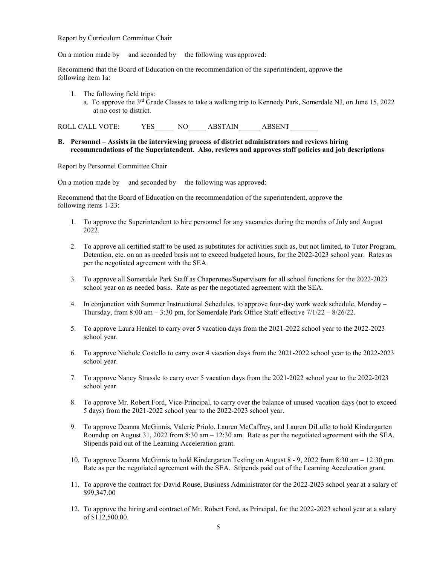Report by Curriculum Committee Chair

On a motion made by and seconded by the following was approved:

Recommend that the Board of Education on the recommendation of the superintendent, approve the following item 1a:

1. The following field trips: a. To approve the  $3<sup>rd</sup>$  Grade Classes to take a walking trip to Kennedy Park, Somerdale NJ, on June 15, 2022 at no cost to district.

ROLL CALL VOTE: YES NO ABSTAIN ABSENT

#### B. Personnel – Assists in the interviewing process of district administrators and reviews hiring recommendations of the Superintendent. Also, reviews and approves staff policies and job descriptions

Report by Personnel Committee Chair

On a motion made by and seconded by the following was approved:

Recommend that the Board of Education on the recommendation of the superintendent, approve the following items 1-23:

- 1. To approve the Superintendent to hire personnel for any vacancies during the months of July and August 2022.
- 2. To approve all certified staff to be used as substitutes for activities such as, but not limited, to Tutor Program, Detention, etc. on an as needed basis not to exceed budgeted hours, for the 2022-2023 school year. Rates as per the negotiated agreement with the SEA.
- 3. To approve all Somerdale Park Staff as Chaperones/Supervisors for all school functions for the 2022-2023 school year on as needed basis. Rate as per the negotiated agreement with the SEA.
- 4. In conjunction with Summer Instructional Schedules, to approve four-day work week schedule, Monday Thursday, from  $8:00 \text{ am} - 3:30 \text{ pm}$ , for Somerdale Park Office Staff effective  $7/1/22 - 8/26/22$ .
- 5. To approve Laura Henkel to carry over 5 vacation days from the 2021-2022 school year to the 2022-2023 school year.
- 6. To approve Nichole Costello to carry over 4 vacation days from the 2021-2022 school year to the 2022-2023 school year.
- 7. To approve Nancy Strassle to carry over 5 vacation days from the 2021-2022 school year to the 2022-2023 school year.
- 8. To approve Mr. Robert Ford, Vice-Principal, to carry over the balance of unused vacation days (not to exceed 5 days) from the 2021-2022 school year to the 2022-2023 school year.
- 9. To approve Deanna McGinnis, Valerie Priolo, Lauren McCaffrey, and Lauren DiLullo to hold Kindergarten Roundup on August 31, 2022 from 8:30 am – 12:30 am. Rate as per the negotiated agreement with the SEA. Stipends paid out of the Learning Acceleration grant.
- 10. To approve Deanna McGinnis to hold Kindergarten Testing on August 8 9, 2022 from 8:30 am 12:30 pm. Rate as per the negotiated agreement with the SEA. Stipends paid out of the Learning Acceleration grant.
- 11. To approve the contract for David Rouse, Business Administrator for the 2022-2023 school year at a salary of \$99,347.00
- 12. To approve the hiring and contract of Mr. Robert Ford, as Principal, for the 2022-2023 school year at a salary of \$112,500.00.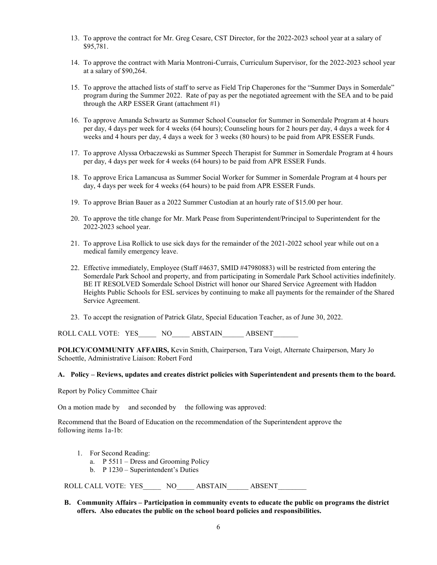- 13. To approve the contract for Mr. Greg Cesare, CST Director, for the 2022-2023 school year at a salary of \$95,781.
- 14. To approve the contract with Maria Montroni-Currais, Curriculum Supervisor, for the 2022-2023 school year at a salary of \$90,264.
- 15. To approve the attached lists of staff to serve as Field Trip Chaperones for the "Summer Days in Somerdale" program during the Summer 2022. Rate of pay as per the negotiated agreement with the SEA and to be paid through the ARP ESSER Grant (attachment #1)
- 16. To approve Amanda Schwartz as Summer School Counselor for Summer in Somerdale Program at 4 hours per day, 4 days per week for 4 weeks (64 hours); Counseling hours for 2 hours per day, 4 days a week for 4 weeks and 4 hours per day, 4 days a week for 3 weeks (80 hours) to be paid from APR ESSER Funds.
- 17. To approve Alyssa Orbaczewski as Summer Speech Therapist for Summer in Somerdale Program at 4 hours per day, 4 days per week for 4 weeks (64 hours) to be paid from APR ESSER Funds.
- 18. To approve Erica Lamancusa as Summer Social Worker for Summer in Somerdale Program at 4 hours per day, 4 days per week for 4 weeks (64 hours) to be paid from APR ESSER Funds.
- 19. To approve Brian Bauer as a 2022 Summer Custodian at an hourly rate of \$15.00 per hour.
- 20. To approve the title change for Mr. Mark Pease from Superintendent/Principal to Superintendent for the 2022-2023 school year.
- 21. To approve Lisa Rollick to use sick days for the remainder of the 2021-2022 school year while out on a medical family emergency leave.
- 22. Effective immediately, Employee (Staff #4637, SMID #47980883) will be restricted from entering the Somerdale Park School and property, and from participating in Somerdale Park School activities indefinitely. BE IT RESOLVED Somerdale School District will honor our Shared Service Agreement with Haddon Heights Public Schools for ESL services by continuing to make all payments for the remainder of the Shared Service Agreement.
- 23. To accept the resignation of Patrick Glatz, Special Education Teacher, as of June 30, 2022.

ROLL CALL VOTE: YES NO ABSTAIN ABSENT

POLICY/COMMUNITY AFFAIRS, Kevin Smith, Chairperson, Tara Voigt, Alternate Chairperson, Mary Jo Schoettle, Administrative Liaison: Robert Ford

### A. Policy – Reviews, updates and creates district policies with Superintendent and presents them to the board.

Report by Policy Committee Chair

On a motion made by and seconded by the following was approved:

Recommend that the Board of Education on the recommendation of the Superintendent approve the following items 1a-1b:

- 1. For Second Reading:
	- a. P 5511 Dress and Grooming Policy
	- b. P 1230 Superintendent's Duties

ROLL CALL VOTE: YES \_\_\_\_ NO \_\_\_\_ ABSTAIN \_\_\_\_ ABSENT

B. Community Affairs – Participation in community events to educate the public on programs the district offers. Also educates the public on the school board policies and responsibilities.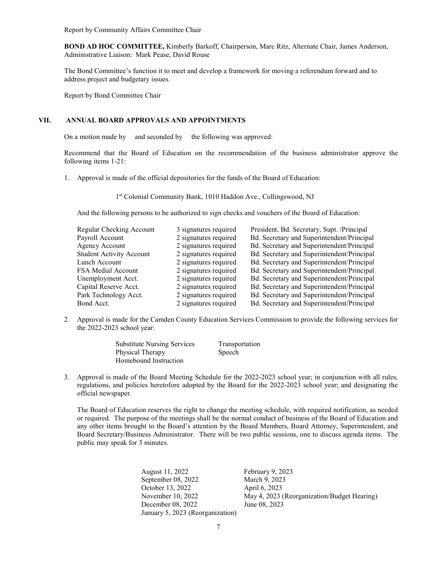Report by Community Affairs Committee Chair

BOND AD HOC COMMITTEE, Kimberly Barkoff, Chairperson, Marc Ritz, Alternate Chair, James Anderson, Administrative Liaison: Mark Pease, David Rouse

The Bond Committee's function it to meet and develop a framework for moving a referendum forward and to address project and budgetary issues.

Report by Bond Committee Chair

### VII. ANNUAL BOARD APPROVALS AND APPOINTMENTS

On a motion made by and seconded by the following was approved:

Recommend that the Board of Education on the recommendation of the business administrator approve the following items 1-21:

1. Approval is made of the official depositories for the funds of the Board of Education:

1st Colonial Community Bank, 1010 Haddon Ave., Collingswood, NJ

And the following persons to be authorized to sign checks and vouchers of the Board of Education:

| Regular Checking Account        | 3 signatures required | President, Bd. Secretary, Supt. /Principal |
|---------------------------------|-----------------------|--------------------------------------------|
| Payroll Account                 | 2 signatures required | Bd. Secretary and Superintendent/Principal |
| Agency Account                  | 2 signatures required | Bd. Secretary and Superintendent/Principal |
| <b>Student Activity Account</b> | 2 signatures required | Bd. Secretary and Superintendent/Principal |
| Lunch Account                   | 2 signatures required | Bd. Secretary and Superintendent/Principal |
| <b>FSA Medial Account</b>       | 2 signatures required | Bd. Secretary and Superintendent/Principal |
| Unemployment Acct.              | 2 signatures required | Bd. Secretary and Superintendent/Principal |
| Capital Reserve Acct.           | 2 signatures required | Bd. Secretary and Superintendent/Principal |
| Park Technology Acct.           | 2 signatures required | Bd. Secretary and Superintendent/Principal |
| Bond Acct.                      | 2 signatures required | Bd. Secretary and Superintendent/Principal |

2. Approval is made for the Camden County Education Services Commission to provide the following services for the 2022-2023 school year:

| <b>Substitute Nursing Services</b> | Transportation |
|------------------------------------|----------------|
| Physical Therapy                   | Speech         |
| Homebound Instruction              |                |

3. Approval is made of the Board Meeting Schedule for the 2022-2023 school year; in conjunction with all rules, regulations, and policies heretofore adopted by the Board for the 2022-2023 school year; and designating the official newspaper.

The Board of Education reserves the right to change the meeting schedule, with required notification, as needed or required. The purpose of the meetings shall be the normal conduct of business of the Board of Education and any other items brought to the Board's attention by the Board Members, Board Attorney, Superintendent, and Board Secretary/Business Administrator. There will be two public sessions, one to discuss agenda items. The public may speak for 3 minutes.

| February 9, 2023                            |
|---------------------------------------------|
| March 9, 2023                               |
| April 6, 2023                               |
| May 4, 2023 (Reorganization/Budget Hearing) |
| June 08, 2023                               |
|                                             |
|                                             |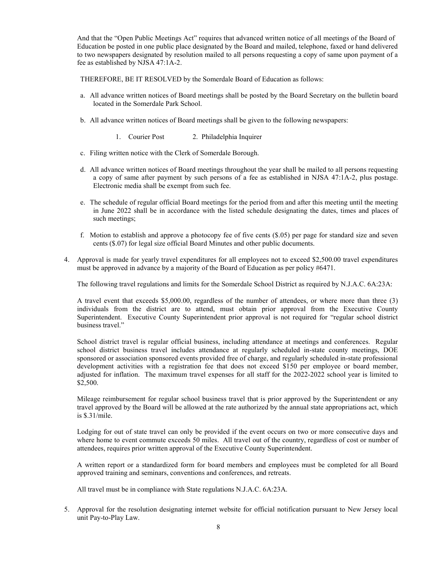And that the "Open Public Meetings Act" requires that advanced written notice of all meetings of the Board of Education be posted in one public place designated by the Board and mailed, telephone, faxed or hand delivered to two newspapers designated by resolution mailed to all persons requesting a copy of same upon payment of a fee as established by NJSA 47:1A-2.

THEREFORE, BE IT RESOLVED by the Somerdale Board of Education as follows:

- a. All advance written notices of Board meetings shall be posted by the Board Secretary on the bulletin board located in the Somerdale Park School.
- b. All advance written notices of Board meetings shall be given to the following newspapers:
	- 1. Courier Post 2. Philadelphia Inquirer
- c. Filing written notice with the Clerk of Somerdale Borough.
- d. All advance written notices of Board meetings throughout the year shall be mailed to all persons requesting a copy of same after payment by such persons of a fee as established in NJSA 47:1A-2, plus postage. Electronic media shall be exempt from such fee.
- e. The schedule of regular official Board meetings for the period from and after this meeting until the meeting in June 2022 shall be in accordance with the listed schedule designating the dates, times and places of such meetings;
- f. Motion to establish and approve a photocopy fee of five cents (\$.05) per page for standard size and seven cents (\$.07) for legal size official Board Minutes and other public documents.
- 4. Approval is made for yearly travel expenditures for all employees not to exceed \$2,500.00 travel expenditures must be approved in advance by a majority of the Board of Education as per policy #6471.

The following travel regulations and limits for the Somerdale School District as required by N.J.A.C. 6A:23A:

A travel event that exceeds \$5,000.00, regardless of the number of attendees, or where more than three (3) individuals from the district are to attend, must obtain prior approval from the Executive County Superintendent. Executive County Superintendent prior approval is not required for "regular school district business travel."

School district travel is regular official business, including attendance at meetings and conferences. Regular school district business travel includes attendance at regularly scheduled in-state county meetings, DOE sponsored or association sponsored events provided free of charge, and regularly scheduled in-state professional development activities with a registration fee that does not exceed \$150 per employee or board member, adjusted for inflation. The maximum travel expenses for all staff for the 2022-2022 school year is limited to \$2,500.

Mileage reimbursement for regular school business travel that is prior approved by the Superintendent or any travel approved by the Board will be allowed at the rate authorized by the annual state appropriations act, which is \$.31/mile.

Lodging for out of state travel can only be provided if the event occurs on two or more consecutive days and where home to event commute exceeds 50 miles. All travel out of the country, regardless of cost or number of attendees, requires prior written approval of the Executive County Superintendent.

A written report or a standardized form for board members and employees must be completed for all Board approved training and seminars, conventions and conferences, and retreats.

All travel must be in compliance with State regulations N.J.A.C. 6A:23A.

5. Approval for the resolution designating internet website for official notification pursuant to New Jersey local unit Pay-to-Play Law.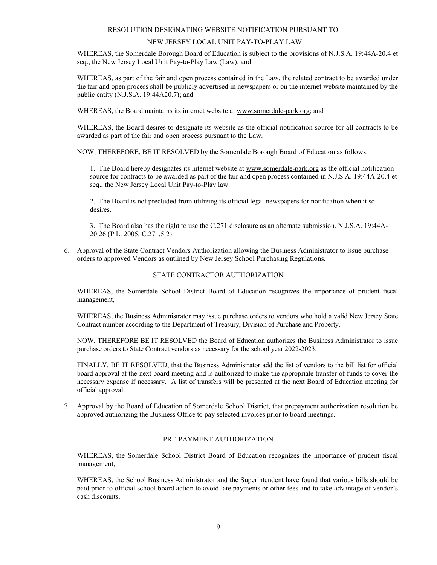### RESOLUTION DESIGNATING WEBSITE NOTIFICATION PURSUANT TO

### NEW JERSEY LOCAL UNIT PAY-TO-PLAY LAW

WHEREAS, the Somerdale Borough Board of Education is subject to the provisions of N.J.S.A. 19:44A-20.4 et seq., the New Jersey Local Unit Pay-to-Play Law (Law); and

WHEREAS, as part of the fair and open process contained in the Law, the related contract to be awarded under the fair and open process shall be publicly advertised in newspapers or on the internet website maintained by the public entity (N.J.S.A. 19:44A20.7); and

WHEREAS, the Board maintains its internet website at www.somerdale-park.org; and

WHEREAS, the Board desires to designate its website as the official notification source for all contracts to be awarded as part of the fair and open process pursuant to the Law.

NOW, THEREFORE, BE IT RESOLVED by the Somerdale Borough Board of Education as follows:

1. The Board hereby designates its internet website at www.somerdale-park.org as the official notification source for contracts to be awarded as part of the fair and open process contained in N.J.S.A. 19:44A-20.4 et seq., the New Jersey Local Unit Pay-to-Play law.

2. The Board is not precluded from utilizing its official legal newspapers for notification when it so desires.

3. The Board also has the right to use the C.271 disclosure as an alternate submission. N.J.S.A. 19:44A-20.26 (P.L. 2005, C.271,5.2)

6. Approval of the State Contract Vendors Authorization allowing the Business Administrator to issue purchase orders to approved Vendors as outlined by New Jersey School Purchasing Regulations.

# STATE CONTRACTOR AUTHORIZATION

WHEREAS, the Somerdale School District Board of Education recognizes the importance of prudent fiscal management,

WHEREAS, the Business Administrator may issue purchase orders to vendors who hold a valid New Jersey State Contract number according to the Department of Treasury, Division of Purchase and Property,

NOW, THEREFORE BE IT RESOLVED the Board of Education authorizes the Business Administrator to issue purchase orders to State Contract vendors as necessary for the school year 2022-2023.

FINALLY, BE IT RESOLVED, that the Business Administrator add the list of vendors to the bill list for official board approval at the next board meeting and is authorized to make the appropriate transfer of funds to cover the necessary expense if necessary. A list of transfers will be presented at the next Board of Education meeting for official approval.

7. Approval by the Board of Education of Somerdale School District, that prepayment authorization resolution be approved authorizing the Business Office to pay selected invoices prior to board meetings.

### PRE-PAYMENT AUTHORIZATION

WHEREAS, the Somerdale School District Board of Education recognizes the importance of prudent fiscal management,

WHEREAS, the School Business Administrator and the Superintendent have found that various bills should be paid prior to official school board action to avoid late payments or other fees and to take advantage of vendor's cash discounts,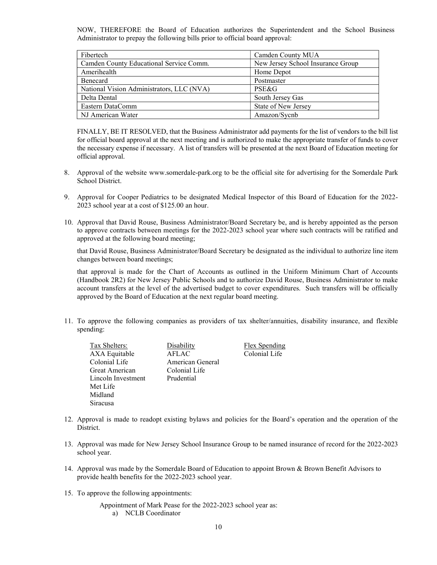NOW, THEREFORE the Board of Education authorizes the Superintendent and the School Business Administrator to prepay the following bills prior to official board approval:

| Fibertech                                 | Camden County MUA                 |
|-------------------------------------------|-----------------------------------|
| Camden County Educational Service Comm.   | New Jersey School Insurance Group |
| Amerihealth                               | Home Depot                        |
| Benecard                                  | Postmaster                        |
| National Vision Administrators, LLC (NVA) | PSE&G                             |
| Delta Dental                              | South Jersey Gas                  |
| Eastern DataComm                          | State of New Jersey               |
| NJ American Water                         | Amazon/Sycnb                      |

FINALLY, BE IT RESOLVED, that the Business Administrator add payments for the list of vendors to the bill list for official board approval at the next meeting and is authorized to make the appropriate transfer of funds to cover the necessary expense if necessary. A list of transfers will be presented at the next Board of Education meeting for official approval.

- 8. Approval of the website www.somerdale-park.org to be the official site for advertising for the Somerdale Park School District.
- 9. Approval for Cooper Pediatrics to be designated Medical Inspector of this Board of Education for the 2022- 2023 school year at a cost of \$125.00 an hour.
- 10. Approval that David Rouse, Business Administrator/Board Secretary be, and is hereby appointed as the person to approve contracts between meetings for the 2022-2023 school year where such contracts will be ratified and approved at the following board meeting;

that David Rouse, Business Administrator/Board Secretary be designated as the individual to authorize line item changes between board meetings;

that approval is made for the Chart of Accounts as outlined in the Uniform Minimum Chart of Accounts (Handbook 2R2) for New Jersey Public Schools and to authorize David Rouse, Business Administrator to make account transfers at the level of the advertised budget to cover expenditures. Such transfers will be officially approved by the Board of Education at the next regular board meeting.

11. To approve the following companies as providers of tax shelter/annuities, disability insurance, and flexible spending:

| Tax Shelters:      | Disability       | <b>Flex Spending</b> |
|--------------------|------------------|----------------------|
| AXA Equitable      | AFLAC            | Colonial Life        |
| Colonial Life      | American General |                      |
| Great American     | Colonial Life    |                      |
| Lincoln Investment | Prudential       |                      |
| Met Life           |                  |                      |
| Midland            |                  |                      |
| Siracusa           |                  |                      |

- 12. Approval is made to readopt existing bylaws and policies for the Board's operation and the operation of the District.
- 13. Approval was made for New Jersey School Insurance Group to be named insurance of record for the 2022-2023 school year.
- 14. Approval was made by the Somerdale Board of Education to appoint Brown & Brown Benefit Advisors to provide health benefits for the 2022-2023 school year.
- 15. To approve the following appointments:
	- Appointment of Mark Pease for the 2022-2023 school year as: a) NCLB Coordinator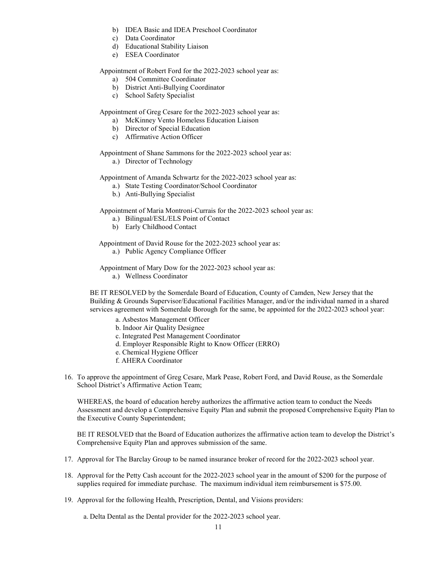- b) IDEA Basic and IDEA Preschool Coordinator
- c) Data Coordinator
- d) Educational Stability Liaison
- e) ESEA Coordinator

Appointment of Robert Ford for the 2022-2023 school year as:

- a) 504 Committee Coordinator
- b) District Anti-Bullying Coordinator
- c) School Safety Specialist

Appointment of Greg Cesare for the 2022-2023 school year as:

- a) McKinney Vento Homeless Education Liaison
- b) Director of Special Education
- c) Affirmative Action Officer

Appointment of Shane Sammons for the 2022-2023 school year as:

a.) Director of Technology

Appointment of Amanda Schwartz for the 2022-2023 school year as:

- a.) State Testing Coordinator/School Coordinator
- b.) Anti-Bullying Specialist

Appointment of Maria Montroni-Currais for the 2022-2023 school year as:

- a.) Bilingual/ESL/ELS Point of Contact
- b) Early Childhood Contact

Appointment of David Rouse for the 2022-2023 school year as:

a.) Public Agency Compliance Officer

Appointment of Mary Dow for the 2022-2023 school year as:

a.) Wellness Coordinator

BE IT RESOLVED by the Somerdale Board of Education, County of Camden, New Jersey that the Building & Grounds Supervisor/Educational Facilities Manager, and/or the individual named in a shared services agreement with Somerdale Borough for the same, be appointed for the 2022-2023 school year:

- a. Asbestos Management Officer
- b. Indoor Air Quality Designee
- c. Integrated Pest Management Coordinator
- d. Employer Responsible Right to Know Officer (ERRO)
- e. Chemical Hygiene Officer
- f. AHERA Coordinator
- 16. To approve the appointment of Greg Cesare, Mark Pease, Robert Ford, and David Rouse, as the Somerdale School District's Affirmative Action Team;

WHEREAS, the board of education hereby authorizes the affirmative action team to conduct the Needs Assessment and develop a Comprehensive Equity Plan and submit the proposed Comprehensive Equity Plan to the Executive County Superintendent;

BE IT RESOLVED that the Board of Education authorizes the affirmative action team to develop the District's Comprehensive Equity Plan and approves submission of the same.

- 17. Approval for The Barclay Group to be named insurance broker of record for the 2022-2023 school year.
- 18. Approval for the Petty Cash account for the 2022-2023 school year in the amount of \$200 for the purpose of supplies required for immediate purchase. The maximum individual item reimbursement is \$75.00.
- 19. Approval for the following Health, Prescription, Dental, and Visions providers:

a. Delta Dental as the Dental provider for the 2022-2023 school year.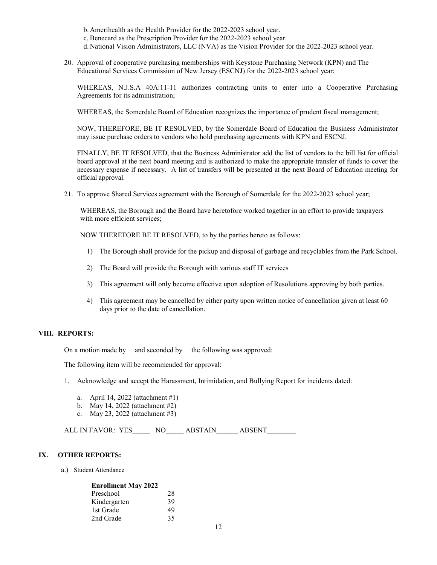- b. Amerihealth as the Health Provider for the 2022-2023 school year.
- c. Benecard as the Prescription Provider for the 2022-2023 school year.
- d. National Vision Administrators, LLC (NVA) as the Vision Provider for the 2022-2023 school year.
- 20. Approval of cooperative purchasing memberships with Keystone Purchasing Network (KPN) and The Educational Services Commission of New Jersey (ESCNJ) for the 2022-2023 school year;

WHEREAS, N.J.S.A 40A:11-11 authorizes contracting units to enter into a Cooperative Purchasing Agreements for its administration;

WHEREAS, the Somerdale Board of Education recognizes the importance of prudent fiscal management;

NOW, THEREFORE, BE IT RESOLVED, by the Somerdale Board of Education the Business Administrator may issue purchase orders to vendors who hold purchasing agreements with KPN and ESCNJ.

FINALLY, BE IT RESOLVED, that the Business Administrator add the list of vendors to the bill list for official board approval at the next board meeting and is authorized to make the appropriate transfer of funds to cover the necessary expense if necessary. A list of transfers will be presented at the next Board of Education meeting for official approval.

21. To approve Shared Services agreement with the Borough of Somerdale for the 2022-2023 school year;

WHEREAS, the Borough and the Board have heretofore worked together in an effort to provide taxpayers with more efficient services;

NOW THEREFORE BE IT RESOLVED, to by the parties hereto as follows:

- 1) The Borough shall provide for the pickup and disposal of garbage and recyclables from the Park School.
- 2) The Board will provide the Borough with various staff IT services
- 3) This agreement will only become effective upon adoption of Resolutions approving by both parties.
- 4) This agreement may be cancelled by either party upon written notice of cancellation given at least 60 days prior to the date of cancellation.

#### VIII. REPORTS:

On a motion made by and seconded by the following was approved:

The following item will be recommended for approval:

- 1. Acknowledge and accept the Harassment, Intimidation, and Bullying Report for incidents dated:
	- a. April 14, 2022 (attachment #1)
	- b. May 14, 2022 (attachment #2)
	- c. May 23, 2022 (attachment #3)

ALL IN FAVOR: YES\_\_\_\_\_\_ NO\_\_\_\_\_\_ ABSTAIN\_\_\_\_\_\_ ABSENT\_\_\_

# IX. OTHER REPORTS:

a.) Student Attendance

| <b>Enrollment May 2022</b> |    |
|----------------------------|----|
| Preschool                  | 28 |
| Kindergarten               | 39 |
| 1st Grade                  | 49 |
| 2nd Grade                  | 35 |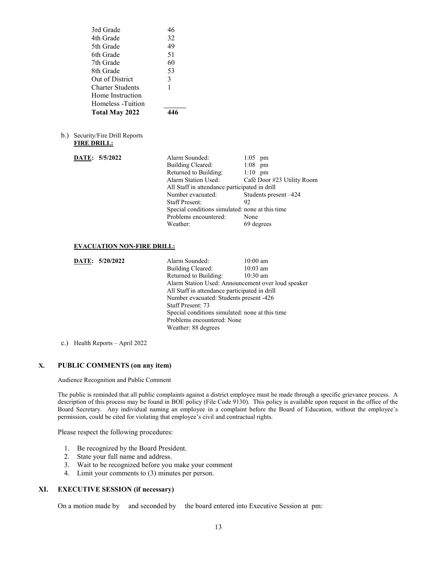| 3rd Grade                                               | 46                    |                                                         |
|---------------------------------------------------------|-----------------------|---------------------------------------------------------|
| 4th Grade                                               | 32                    |                                                         |
| 5th Grade                                               | 49                    |                                                         |
| 6th Grade                                               | 51                    |                                                         |
| 7th Grade                                               | 60                    |                                                         |
| 8th Grade                                               | 53                    |                                                         |
| Out of District                                         | 3                     |                                                         |
| <b>Charter Students</b>                                 | 1                     |                                                         |
| Home Instruction                                        |                       |                                                         |
| Homeless - Tuition                                      |                       |                                                         |
| Total May 2022                                          | 446                   |                                                         |
|                                                         |                       |                                                         |
| Security/Fire Drill Reports<br>b.<br><b>FIRE DRILL:</b> |                       |                                                         |
| DATE: 5/5/2022                                          | Alarm Sounded:        | $1:05$ pm                                               |
|                                                         | Building Cleared:     | $1:08$ pm                                               |
|                                                         | Returned to Building: | $1:10$ pm                                               |
|                                                         | Alarm Station Used:   | Café Door #23 Utility Room                              |
|                                                         |                       | All Staff in attendance participated in drill           |
|                                                         | Number evacuated:     | Students present -424                                   |
|                                                         | <b>Staff Present:</b> | 92                                                      |
|                                                         | Problems encountered: | Special conditions simulated: none at this time<br>None |
|                                                         | Weather:              | 69 degrees                                              |
|                                                         |                       |                                                         |
|                                                         |                       |                                                         |
| <b>EVACUATION NON-FIRE DRILL:</b>                       |                       |                                                         |
| DATE: 5/20/2022                                         | Alarm Sounded:        | $10:00$ am                                              |
|                                                         | $\text{Duldiag}$      | $10.02 \, \text{cm}$                                    |

| <b>DAIL:</b> $3/20/2022$ | Alafiii sounded.                                   | TU.UU alli |  |
|--------------------------|----------------------------------------------------|------------|--|
|                          | Building Cleared:                                  | $10:03$ am |  |
|                          | Returned to Building:                              | $10:30$ am |  |
|                          | Alarm Station Used: Announcement over loud speaker |            |  |
|                          | All Staff in attendance participated in drill      |            |  |
|                          | Number evacuated: Students present -426            |            |  |
|                          | Staff Present: 73                                  |            |  |
|                          | Special conditions simulated: none at this time    |            |  |
|                          | Problems encountered: None                         |            |  |
|                          | Weather: 88 degrees                                |            |  |
|                          |                                                    |            |  |

c.) Health Reports – April 2022

# X. PUBLIC COMMENTS (on any item)

Audience Recognition and Public Comment

The public is reminded that all public complaints against a district employee must be made through a specific grievance process. A description of this process may be found in BOE policy (File Code 9130). This policy is available upon request in the office of the Board Secretary. Any individual naming an employee in a complaint before the Board of Education, without the employee's permission, could be cited for violating that employee's civil and contractual rights.

Please respect the following procedures:

- 1. Be recognized by the Board President.
- 2. State your full name and address.
- 3. Wait to be recognized before you make your comment
- 4. Limit your comments to (3) minutes per person.

# XI. EXECUTIVE SESSION (if necessary)

On a motion made by and seconded by the board entered into Executive Session at pm: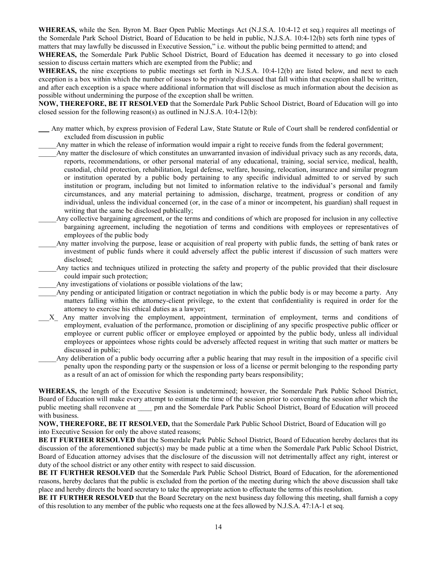WHEREAS, while the Sen. Byron M. Baer Open Public Meetings Act (N.J.S.A. 10:4-12 et seq.) requires all meetings of the Somerdale Park School District, Board of Education to be held in public, N.J.S.A. 10:4-12(b) sets forth nine types of matters that may lawfully be discussed in Executive Session," i.e. without the public being permitted to attend; and

WHEREAS, the Somerdale Park Public School District, Board of Education has deemed it necessary to go into closed session to discuss certain matters which are exempted from the Public; and

WHEREAS, the nine exceptions to public meetings set forth in N.J.S.A. 10:4-12(b) are listed below, and next to each exception is a box within which the number of issues to be privately discussed that fall within that exception shall be written, and after each exception is a space where additional information that will disclose as much information about the decision as possible without undermining the purpose of the exception shall be written.

NOW, THEREFORE, BE IT RESOLVED that the Somerdale Park Public School District, Board of Education will go into closed session for the following reason(s) as outlined in N.J.S.A. 10:4-12(b):

- \_\_\_ Any matter which, by express provision of Federal Law, State Statute or Rule of Court shall be rendered confidential or excluded from discussion in public
- Any matter in which the release of information would impair a right to receive funds from the federal government;
- \_\_\_\_\_Any matter the disclosure of which constitutes an unwarranted invasion of individual privacy such as any records, data, reports, recommendations, or other personal material of any educational, training, social service, medical, health, custodial, child protection, rehabilitation, legal defense, welfare, housing, relocation, insurance and similar program or institution operated by a public body pertaining to any specific individual admitted to or served by such institution or program, including but not limited to information relative to the individual's personal and family circumstances, and any material pertaining to admission, discharge, treatment, progress or condition of any individual, unless the individual concerned (or, in the case of a minor or incompetent, his guardian) shall request in writing that the same be disclosed publically;
	- \_\_\_\_\_Any collective bargaining agreement, or the terms and conditions of which are proposed for inclusion in any collective bargaining agreement, including the negotiation of terms and conditions with employees or representatives of employees of the public body
	- Any matter involving the purpose, lease or acquisition of real property with public funds, the setting of bank rates or investment of public funds where it could adversely affect the public interest if discussion of such matters were disclosed;
	- Any tactics and techniques utilized in protecting the safety and property of the public provided that their disclosure could impair such protection;
- Any investigations of violations or possible violations of the law;
- Any pending or anticipated litigation or contract negotiation in which the public body is or may become a party. Any matters falling within the attorney-client privilege, to the extent that confidentiality is required in order for the attorney to exercise his ethical duties as a lawyer;
- \_\_\_X\_ Any matter involving the employment, appointment, termination of employment, terms and conditions of employment, evaluation of the performance, promotion or disciplining of any specific prospective public officer or employee or current public officer or employee employed or appointed by the public body, unless all individual employees or appointees whose rights could be adversely affected request in writing that such matter or matters be discussed in public;
	- \_\_\_\_\_Any deliberation of a public body occurring after a public hearing that may result in the imposition of a specific civil penalty upon the responding party or the suspension or loss of a license or permit belonging to the responding party as a result of an act of omission for which the responding party bears responsibility;

WHEREAS, the length of the Executive Session is undetermined; however, the Somerdale Park Public School District, Board of Education will make every attempt to estimate the time of the session prior to convening the session after which the public meeting shall reconvene at \_\_\_\_ pm and the Somerdale Park Public School District, Board of Education will proceed with business.

NOW, THEREFORE, BE IT RESOLVED, that the Somerdale Park Public School District, Board of Education will go into Executive Session for only the above stated reasons;

BE IT FURTHER RESOLVED that the Somerdale Park Public School District, Board of Education hereby declares that its discussion of the aforementioned subject(s) may be made public at a time when the Somerdale Park Public School District, Board of Education attorney advises that the disclosure of the discussion will not detrimentally affect any right, interest or duty of the school district or any other entity with respect to said discussion.

BE IT FURTHER RESOLVED that the Somerdale Park Public School District, Board of Education, for the aforementioned reasons, hereby declares that the public is excluded from the portion of the meeting during which the above discussion shall take place and hereby directs the board secretary to take the appropriate action to effectuate the terms of this resolution.

BE IT FURTHER RESOLVED that the Board Secretary on the next business day following this meeting, shall furnish a copy of this resolution to any member of the public who requests one at the fees allowed by N.J.S.A. 47:1A-1 et seq.